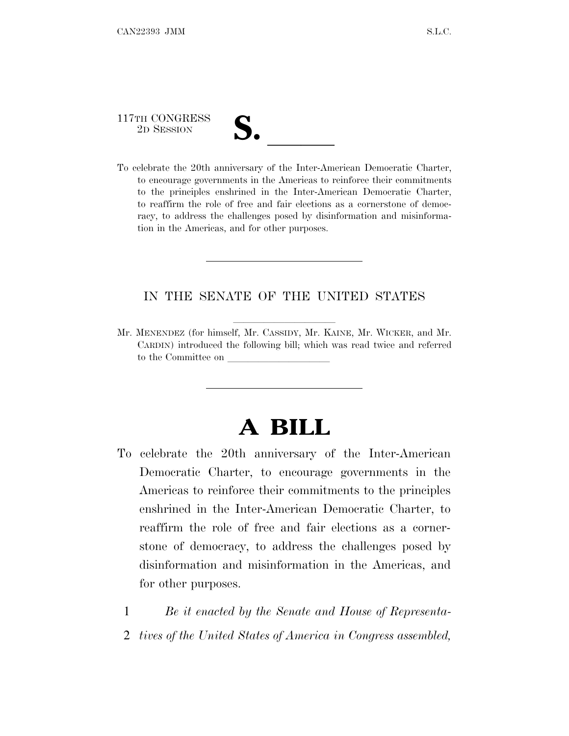117TH CONGRESS

117TH CONGRESS<br>
2D SESSION<br>
To celebrate the 20th anniversary of the Inter-American Democratic Charter, to encourage governments in the Americas to reinforce their commitments to the principles enshrined in the Inter-American Democratic Charter, to reaffirm the role of free and fair elections as a cornerstone of democracy, to address the challenges posed by disinformation and misinformation in the Americas, and for other purposes.

#### IN THE SENATE OF THE UNITED STATES

Mr. MENENDEZ (for himself, Mr. CASSIDY, Mr. KAINE, Mr. WICKER, and Mr. CARDIN) introduced the following bill; which was read twice and referred to the Committee on

## **A BILL**

- To celebrate the 20th anniversary of the Inter-American Democratic Charter, to encourage governments in the Americas to reinforce their commitments to the principles enshrined in the Inter-American Democratic Charter, to reaffirm the role of free and fair elections as a cornerstone of democracy, to address the challenges posed by disinformation and misinformation in the Americas, and for other purposes.
	- 1 *Be it enacted by the Senate and House of Representa-*
	- 2 *tives of the United States of America in Congress assembled,*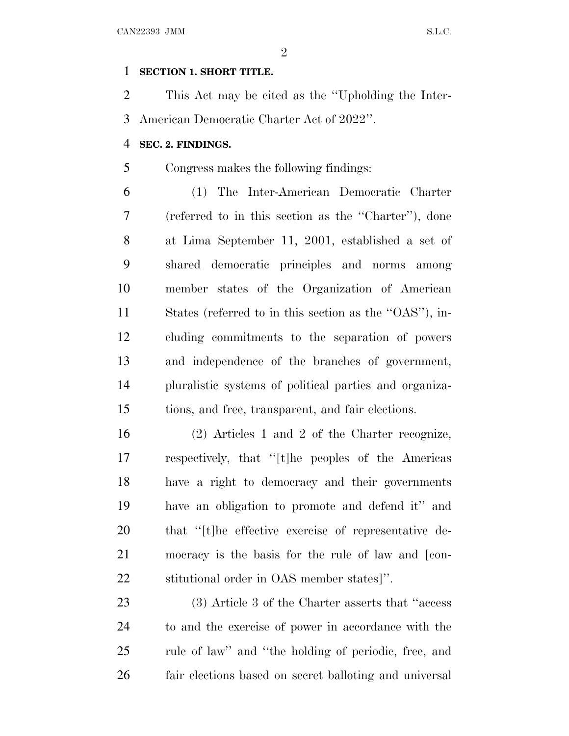#### **SECTION 1. SHORT TITLE.**

 This Act may be cited as the ''Upholding the Inter-American Democratic Charter Act of 2022''.

#### **SEC. 2. FINDINGS.**

Congress makes the following findings:

 (1) The Inter-American Democratic Charter (referred to in this section as the ''Charter''), done at Lima September 11, 2001, established a set of shared democratic principles and norms among member states of the Organization of American States (referred to in this section as the ''OAS''), in- cluding commitments to the separation of powers and independence of the branches of government, pluralistic systems of political parties and organiza-tions, and free, transparent, and fair elections.

 (2) Articles 1 and 2 of the Charter recognize, respectively, that ''[t]he peoples of the Americas have a right to democracy and their governments have an obligation to promote and defend it'' and that ''[t]he effective exercise of representative de- mocracy is the basis for the rule of law and [con-stitutional order in OAS member states]''.

 (3) Article 3 of the Charter asserts that ''access to and the exercise of power in accordance with the rule of law'' and ''the holding of periodic, free, and fair elections based on secret balloting and universal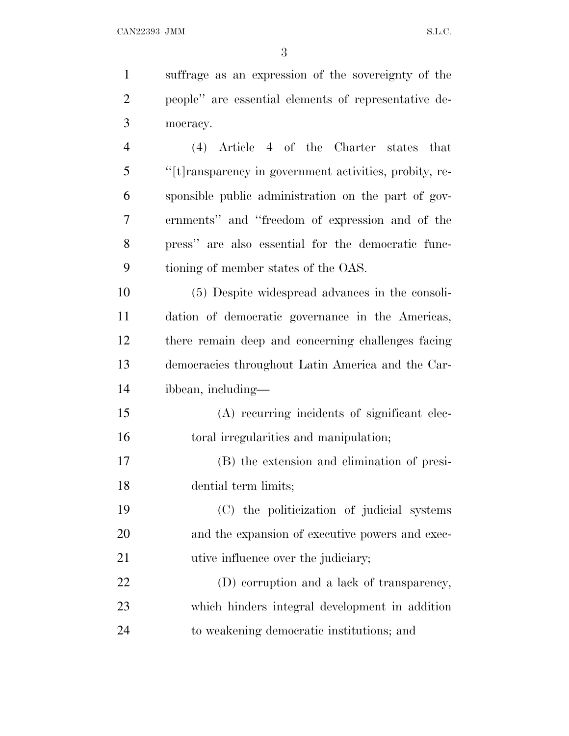| $\mathbf{1}$   | suffrage as an expression of the sovereignty of the    |
|----------------|--------------------------------------------------------|
| $\overline{2}$ | people" are essential elements of representative de-   |
| 3              | mocracy.                                               |
| $\overline{4}$ | $(4)$ Article 4 of the Charter states that             |
| 5              | "[t]ransparency in government activities, probity, re- |
| 6              | sponsible public administration on the part of gov-    |
| 7              | ernments" and "freedom of expression and of the        |
| 8              | press" are also essential for the democratic func-     |
| 9              | tioning of member states of the OAS.                   |
| 10             | (5) Despite widespread advances in the consoli-        |
| 11             | dation of democratic governance in the Americas,       |
| 12             | there remain deep and concerning challenges facing     |
| 13             | democracies throughout Latin America and the Car-      |
| 14             | ibbean, including—                                     |
| 15             | (A) recurring incidents of significant elec-           |
| 16             | toral irregularities and manipulation;                 |
| 17             | (B) the extension and elimination of presi-            |
| 18             | dential term limits;                                   |
| 19             | (C) the politicization of judicial systems             |
| 20             | and the expansion of executive powers and exec-        |
| 21             | utive influence over the judiciary;                    |

 (D) corruption and a lack of transparency, which hinders integral development in addition to weakening democratic institutions; and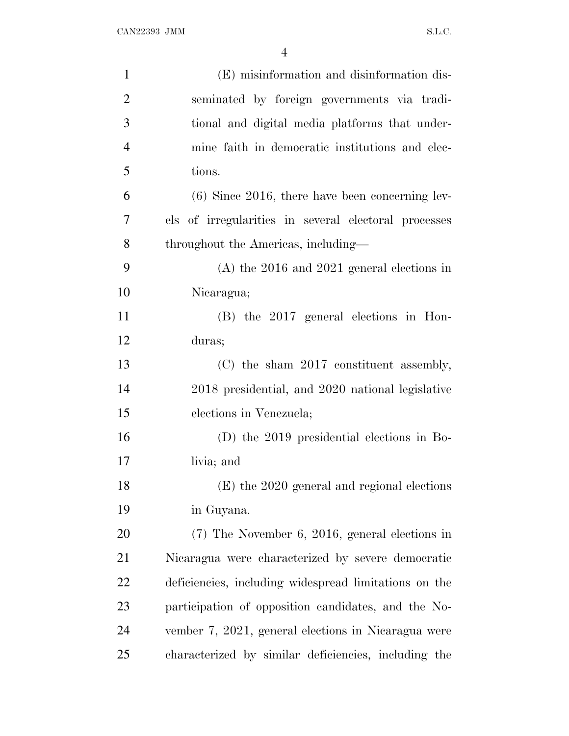| $\mathbf{1}$   | (E) misinformation and disinformation dis-            |
|----------------|-------------------------------------------------------|
| $\overline{2}$ | seminated by foreign governments via tradi-           |
| 3              | tional and digital media platforms that under-        |
| $\overline{4}$ | mine faith in democratic institutions and elec-       |
| 5              | tions.                                                |
| 6              | $(6)$ Since 2016, there have been concerning lev-     |
| 7              | els of irregularities in several electoral processes  |
| 8              | throughout the Americas, including—                   |
| 9              | $(A)$ the 2016 and 2021 general elections in          |
| 10             | Nicaragua;                                            |
| 11             | $(B)$ the 2017 general elections in Hon-              |
| 12             | duras;                                                |
| 13             | (C) the sham 2017 constituent assembly,               |
| 14             | 2018 presidential, and 2020 national legislative      |
| 15             | elections in Venezuela;                               |
| 16             | $(D)$ the 2019 presidential elections in Bo-          |
| 17             | livia; and                                            |
| 18             | (E) the 2020 general and regional elections           |
| 19             | in Guyana.                                            |
| 20             | $(7)$ The November 6, 2016, general elections in      |
| 21             | Nicaragua were characterized by severe democratic     |
| 22             | deficiencies, including widespread limitations on the |
| 23             | participation of opposition candidates, and the No-   |
| 24             | vember 7, 2021, general elections in Nicaragua were   |
| 25             | characterized by similar deficiencies, including the  |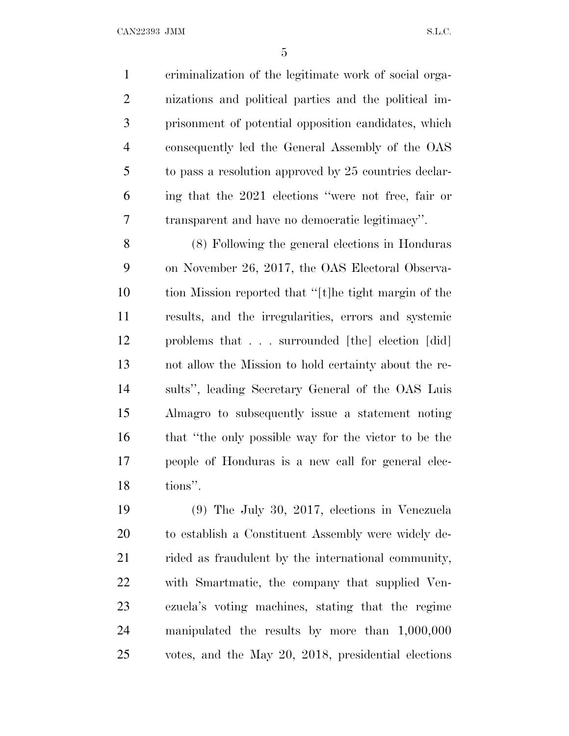criminalization of the legitimate work of social orga- nizations and political parties and the political im- prisonment of potential opposition candidates, which consequently led the General Assembly of the OAS to pass a resolution approved by 25 countries declar- ing that the 2021 elections ''were not free, fair or transparent and have no democratic legitimacy''.

 (8) Following the general elections in Honduras on November 26, 2017, the OAS Electoral Observa- tion Mission reported that ''[t]he tight margin of the results, and the irregularities, errors and systemic problems that . . . surrounded [the] election [did] not allow the Mission to hold certainty about the re- sults'', leading Secretary General of the OAS Luis Almagro to subsequently issue a statement noting that ''the only possible way for the victor to be the people of Honduras is a new call for general elec-tions''.

 (9) The July 30, 2017, elections in Venezuela to establish a Constituent Assembly were widely de-21 rided as fraudulent by the international community, with Smartmatic, the company that supplied Ven- ezuela's voting machines, stating that the regime manipulated the results by more than 1,000,000 votes, and the May 20, 2018, presidential elections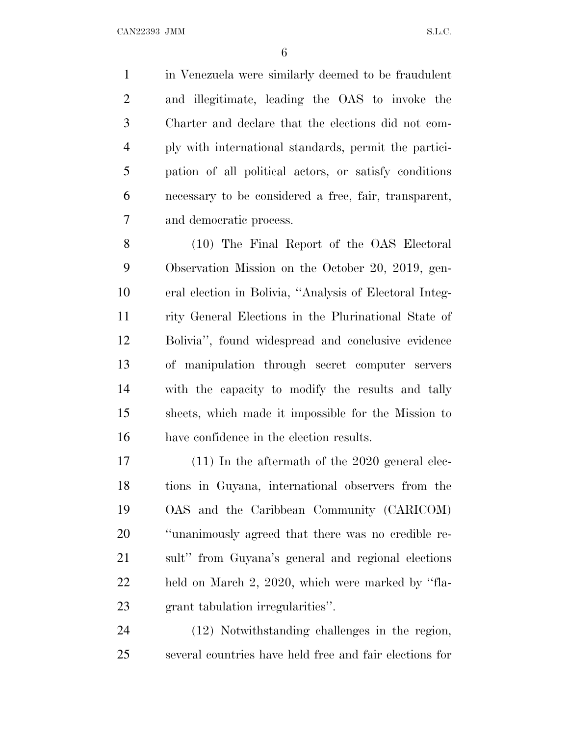in Venezuela were similarly deemed to be fraudulent and illegitimate, leading the OAS to invoke the Charter and declare that the elections did not com- ply with international standards, permit the partici- pation of all political actors, or satisfy conditions necessary to be considered a free, fair, transparent, and democratic process.

 (10) The Final Report of the OAS Electoral Observation Mission on the October 20, 2019, gen- eral election in Bolivia, ''Analysis of Electoral Integ- rity General Elections in the Plurinational State of Bolivia'', found widespread and conclusive evidence of manipulation through secret computer servers with the capacity to modify the results and tally sheets, which made it impossible for the Mission to have confidence in the election results.

 (11) In the aftermath of the 2020 general elec- tions in Guyana, international observers from the OAS and the Caribbean Community (CARICOM) ''unanimously agreed that there was no credible re- sult'' from Guyana's general and regional elections held on March 2, 2020, which were marked by ''fla-grant tabulation irregularities''.

 (12) Notwithstanding challenges in the region, several countries have held free and fair elections for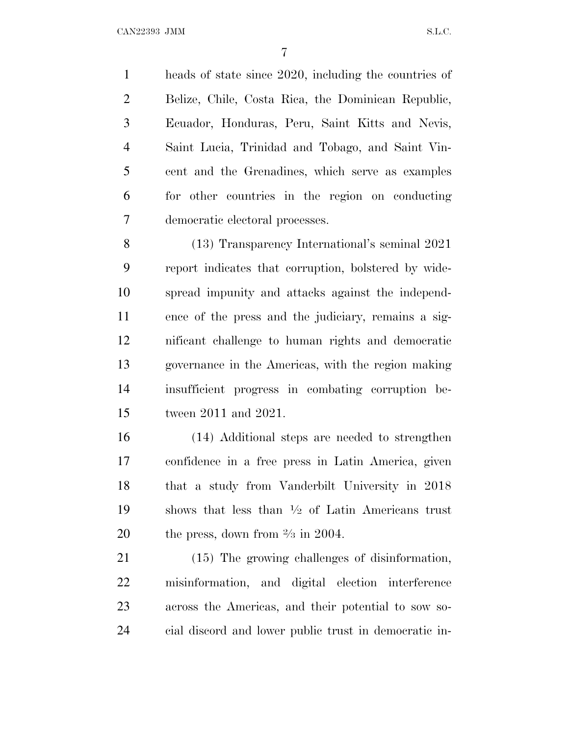heads of state since 2020, including the countries of Belize, Chile, Costa Rica, the Dominican Republic, Ecuador, Honduras, Peru, Saint Kitts and Nevis, Saint Lucia, Trinidad and Tobago, and Saint Vin- cent and the Grenadines, which serve as examples for other countries in the region on conducting democratic electoral processes.

 (13) Transparency International's seminal 2021 report indicates that corruption, bolstered by wide- spread impunity and attacks against the independ- ence of the press and the judiciary, remains a sig- nificant challenge to human rights and democratic governance in the Americas, with the region making insufficient progress in combating corruption be-tween 2011 and 2021.

 (14) Additional steps are needed to strengthen confidence in a free press in Latin America, given that a study from Vanderbilt University in 2018 19 shows that less than  $\frac{1}{2}$  of Latin Americans trust 20 the press, down from  $\frac{2}{3}$  in 2004.

 (15) The growing challenges of disinformation, misinformation, and digital election interference across the Americas, and their potential to sow so-cial discord and lower public trust in democratic in-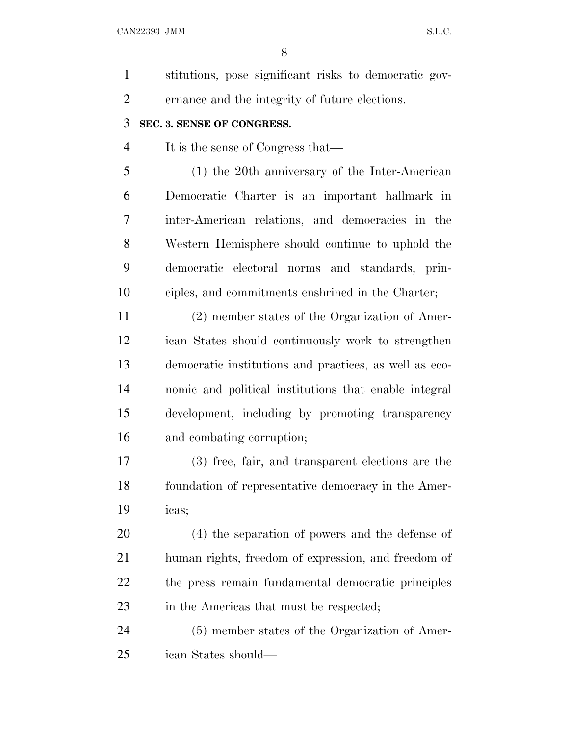| $\mathbf{1}$   | stitutions, pose significant risks to democratic gov-  |
|----------------|--------------------------------------------------------|
| $\overline{2}$ | ernance and the integrity of future elections.         |
| 3              | SEC. 3. SENSE OF CONGRESS.                             |
| $\overline{4}$ | It is the sense of Congress that—                      |
| 5              | $(1)$ the 20th anniversary of the Inter-American       |
| 6              | Democratic Charter is an important hallmark in         |
| 7              | inter-American relations, and democracies in the       |
| 8              | Western Hemisphere should continue to uphold the       |
| 9              | democratic electoral norms and standards, prin-        |
| 10             | ciples, and commitments enshrined in the Charter;      |
| 11             | (2) member states of the Organization of Amer-         |
| 12             | ican States should continuously work to strengthen     |
| 13             | democratic institutions and practices, as well as eco- |
| 14             | nomic and political institutions that enable integral  |
| 15             | development, including by promoting transparency       |
| 16             | and combating corruption;                              |
| 17             | (3) free, fair, and transparent elections are the      |
| 18             | foundation of representative democracy in the Amer-    |
| 19             | icas;                                                  |
| 20             | (4) the separation of powers and the defense of        |
| 21             | human rights, freedom of expression, and freedom of    |
| 22             | the press remain fundamental democratic principles     |
| 23             | in the Americas that must be respected;                |
| 24             | (5) member states of the Organization of Amer-         |
| 25             | ican States should—                                    |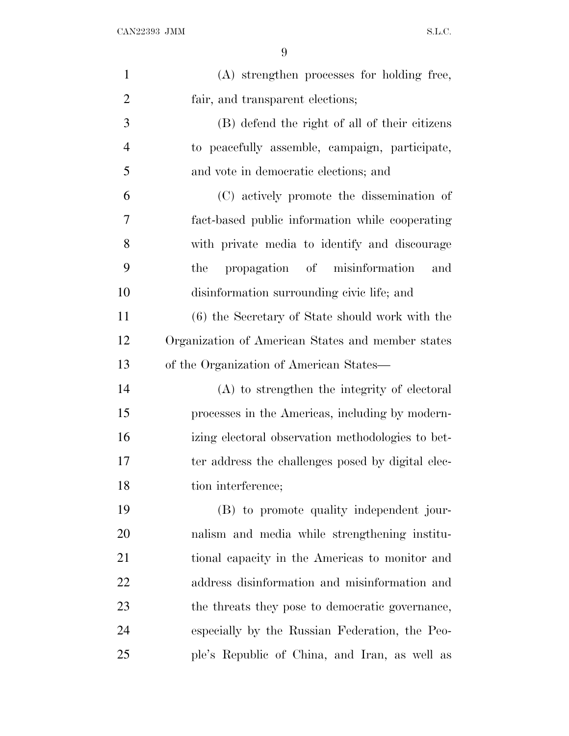| $\mathbf{1}$   | (A) strengthen processes for holding free,        |
|----------------|---------------------------------------------------|
| $\overline{2}$ | fair, and transparent elections;                  |
| 3              | (B) defend the right of all of their citizens     |
| $\overline{4}$ | to peacefully assemble, campaign, participate,    |
| 5              | and vote in democratic elections; and             |
| 6              | (C) actively promote the dissemination of         |
| 7              | fact-based public information while cooperating   |
| 8              | with private media to identify and discourage     |
| 9              | propagation of misinformation<br>the<br>and       |
| 10             | disinformation surrounding civic life; and        |
| 11             | (6) the Secretary of State should work with the   |
| 12             | Organization of American States and member states |
| 13             | of the Organization of American States—           |
| 14             | (A) to strengthen the integrity of electoral      |
| 15             | processes in the Americas, including by modern-   |
| 16             | izing electoral observation methodologies to bet- |
| 17             | ter address the challenges posed by digital elec- |
| 18             | tion interference;                                |
| 19             | (B) to promote quality independent jour-          |
| 20             | nalism and media while strengthening institu-     |
| 21             | tional capacity in the Americas to monitor and    |
| 22             | address disinformation and misinformation and     |
| 23             | the threats they pose to democratic governance,   |
| 24             | especially by the Russian Federation, the Peo-    |
| 25             | ple's Republic of China, and Iran, as well as     |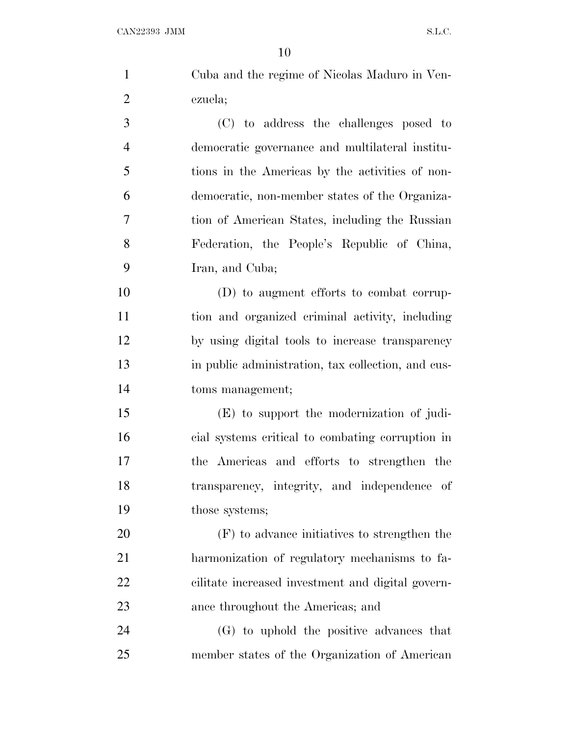|                | 10                                                 |
|----------------|----------------------------------------------------|
| $\mathbf{1}$   | Cuba and the regime of Nicolas Maduro in Ven-      |
| $\overline{2}$ | ezuela;                                            |
| 3              | (C) to address the challenges posed to             |
| $\overline{4}$ | democratic governance and multilateral institu-    |
| 5              | tions in the Americas by the activities of non-    |
| 6              | democratic, non-member states of the Organiza-     |
| $\tau$         | tion of American States, including the Russian     |
| 8              | Federation, the People's Republic of China,        |
| 9              | Iran, and Cuba;                                    |
| 10             | (D) to augment efforts to combat corrup-           |
| 11             | tion and organized criminal activity, including    |
| 12             | by using digital tools to increase transparency    |
| 13             | in public administration, tax collection, and cus- |
| 14             | toms management;                                   |
| 15             | (E) to support the modernization of judi-          |
| 16             | cial systems critical to combating corruption in   |
| 17             | the Americas and efforts to strengthen the         |
| 18             | transparency, integrity, and independence of       |
| 19             | those systems;                                     |
| 20             | (F) to advance initiatives to strengthen the       |
| 21             | harmonization of regulatory mechanisms to fa-      |
| 22             | cilitate increased investment and digital govern-  |
| 23             | ance throughout the Americas; and                  |
| 24             | (G) to uphold the positive advances that           |

member states of the Organization of American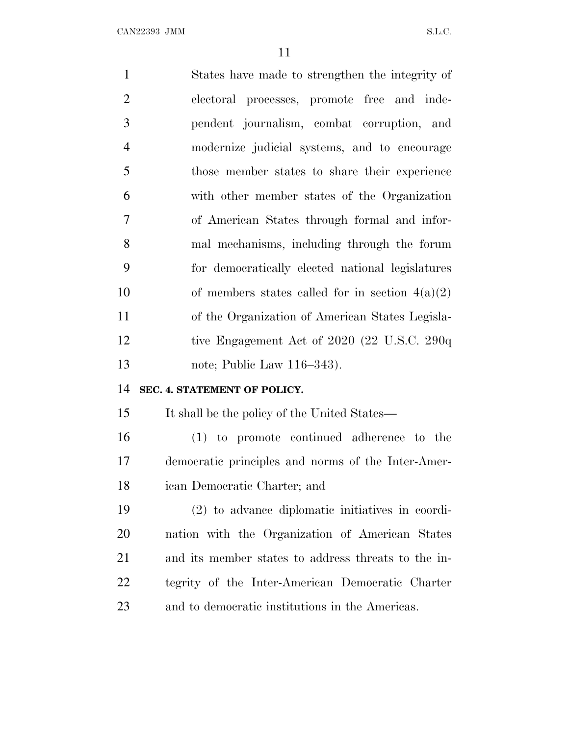| $\mathbf{1}$   | States have made to strengthen the integrity of     |
|----------------|-----------------------------------------------------|
| $\overline{2}$ | electoral processes, promote free and inde-         |
| 3              | pendent journalism, combat corruption, and          |
| $\overline{4}$ | modernize judicial systems, and to encourage        |
| 5              | those member states to share their experience       |
| 6              | with other member states of the Organization        |
| $\overline{7}$ | of American States through formal and infor-        |
| 8              | mal mechanisms, including through the forum         |
| 9              | for democratically elected national legislatures    |
| 10             | of members states called for in section $4(a)(2)$   |
| 11             | of the Organization of American States Legisla-     |
| 12             | tive Engagement Act of $2020$ (22 U.S.C. 290q)      |
| 13             | note; Public Law 116–343).                          |
| 14             | SEC. 4. STATEMENT OF POLICY.                        |
| 15             | It shall be the policy of the United States—        |
| 16             | (1) to promote continued adherence to the           |
| 17             | democratic principles and norms of the Inter-Amer-  |
| 18             | ican Democratic Charter; and                        |
| 19             | (2) to advance diplomatic initiatives in coordi-    |
| <b>20</b>      | nation with the Organization of American States     |
| 21             | and its member states to address threats to the in- |
| 22             | tegrity of the Inter-American Democratic Charter    |
| 23             | and to democratic institutions in the Americas.     |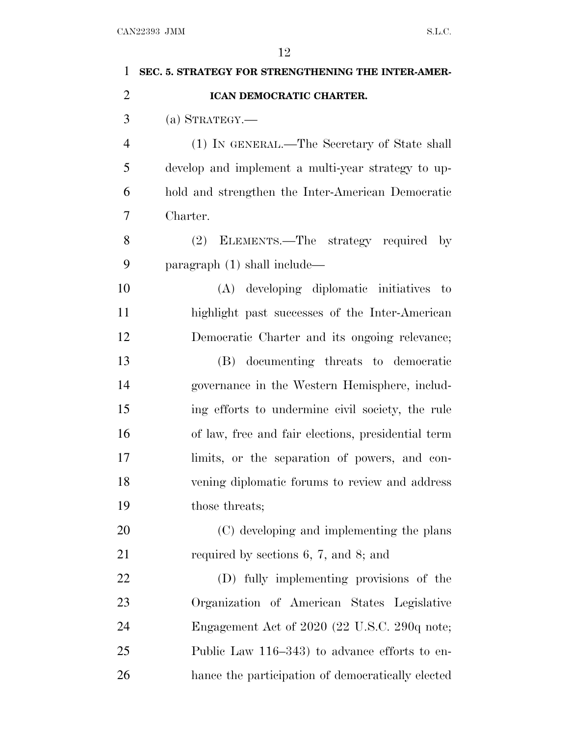| 1              | SEC. 5. STRATEGY FOR STRENGTHENING THE INTER-AMER- |
|----------------|----------------------------------------------------|
| $\overline{2}$ | ICAN DEMOCRATIC CHARTER.                           |
| 3              | $(a)$ STRATEGY.—                                   |
| $\overline{4}$ | (1) IN GENERAL.—The Secretary of State shall       |
| 5              | develop and implement a multi-year strategy to up- |
| 6              | hold and strengthen the Inter-American Democratic  |
| 7              | Charter.                                           |
| 8              | (2) ELEMENTS.—The strategy required by             |
| 9              | paragraph $(1)$ shall include—                     |
| 10             | (A) developing diplomatic initiatives to           |
| 11             | highlight past successes of the Inter-American     |
| 12             | Democratic Charter and its ongoing relevance;      |
| 13             | (B) documenting threats to democratic              |
| 14             | governance in the Western Hemisphere, includ-      |
| 15             | ing efforts to undermine civil society, the rule   |
| 16             | of law, free and fair elections, presidential term |
| 17             | limits, or the separation of powers, and con-      |
| 18             | vening diplomatic forums to review and address     |
| 19             | those threats;                                     |
| 20             | (C) developing and implementing the plans          |
| 21             | required by sections $6, 7,$ and $8$ ; and         |
| 22             | (D) fully implementing provisions of the           |
| 23             | Organization of American States Legislative        |
| 24             | Engagement Act of 2020 (22 U.S.C. 290q note;       |
| 25             | Public Law 116–343) to advance efforts to en-      |
| 26             | hance the participation of democratically elected  |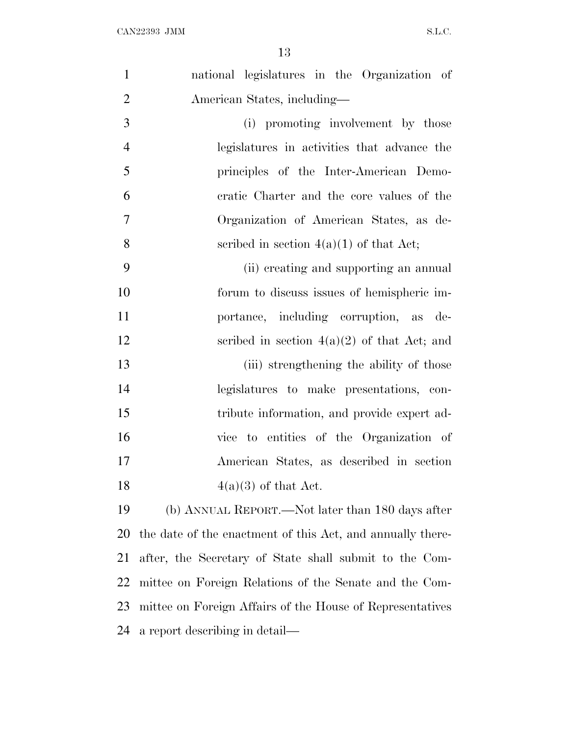| $\mathbf{1}$   | national legislatures in the Organization of               |
|----------------|------------------------------------------------------------|
| $\overline{2}$ | American States, including—                                |
| 3              | (i) promoting involvement by those                         |
| $\overline{4}$ | legislatures in activities that advance the                |
| 5              | principles of the Inter-American Demo-                     |
| 6              | eratic Charter and the core values of the                  |
| 7              | Organization of American States, as de-                    |
| 8              | scribed in section $4(a)(1)$ of that Act;                  |
| 9              | (ii) creating and supporting an annual                     |
| 10             | forum to discuss issues of hemispheric im-                 |
| 11             | portance, including corruption, as de-                     |
| 12             | scribed in section $4(a)(2)$ of that Act; and              |
| 13             | (iii) strengthening the ability of those                   |
| 14             | legislatures to make presentations, con-                   |
| 15             | tribute information, and provide expert ad-                |
| 16             | vice to entities of the Organization of                    |
| 17             | American States, as described in section                   |
| 18             | $4(a)(3)$ of that Act.                                     |
| 19             | (b) ANNUAL REPORT.—Not later than 180 days after           |
| 20             | the date of the enactment of this Act, and annually there- |
| 21             | after, the Secretary of State shall submit to the Com-     |
| 22             | mittee on Foreign Relations of the Senate and the Com-     |
| 23             | mittee on Foreign Affairs of the House of Representatives  |
| 24             | a report describing in detail—                             |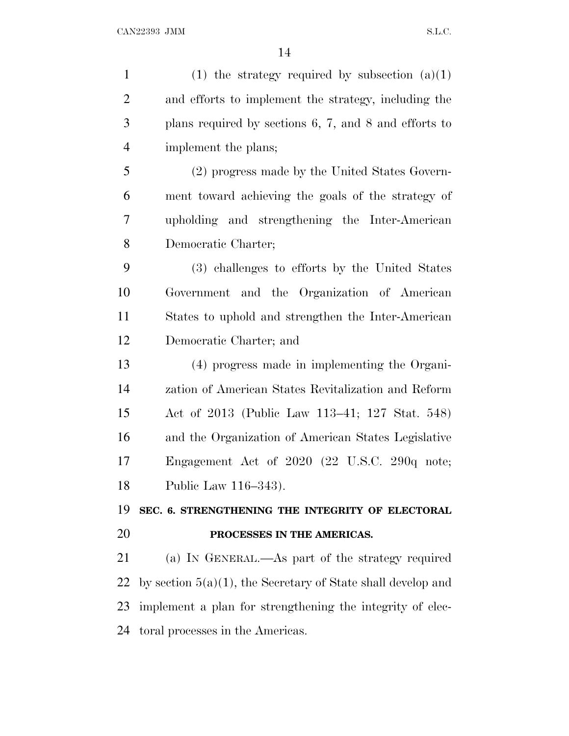1 (1) the strategy required by subsection  $(a)(1)$  and efforts to implement the strategy, including the plans required by sections 6, 7, and 8 and efforts to implement the plans; (2) progress made by the United States Govern- ment toward achieving the goals of the strategy of upholding and strengthening the Inter-American Democratic Charter; (3) challenges to efforts by the United States Government and the Organization of American States to uphold and strengthen the Inter-American Democratic Charter; and (4) progress made in implementing the Organi- zation of American States Revitalization and Reform Act of 2013 (Public Law 113–41; 127 Stat. 548) and the Organization of American States Legislative Engagement Act of 2020 (22 U.S.C. 290q note; Public Law 116–343). **SEC. 6. STRENGTHENING THE INTEGRITY OF ELECTORAL PROCESSES IN THE AMERICAS.** (a) I<sup>N</sup> GENERAL.—As part of the strategy required 22 by section  $5(a)(1)$ , the Secretary of State shall develop and implement a plan for strengthening the integrity of elec-toral processes in the Americas.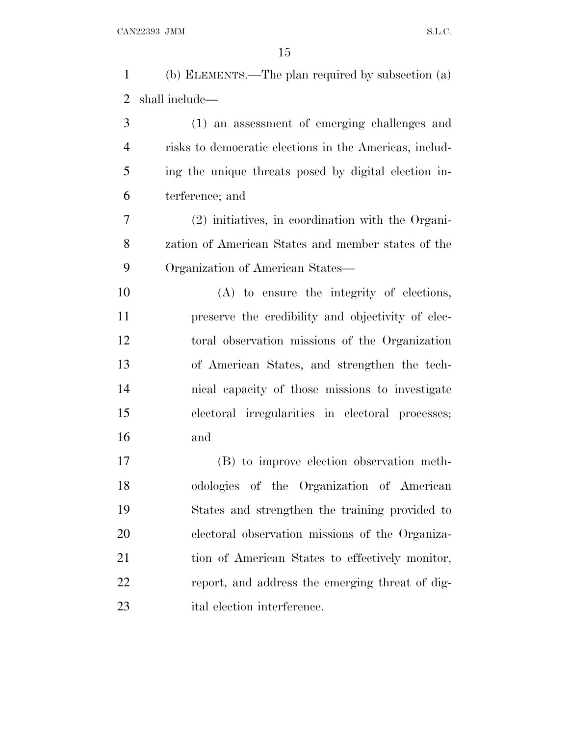(b) ELEMENTS.—The plan required by subsection (a) shall include—

 (1) an assessment of emerging challenges and risks to democratic elections in the Americas, includ- ing the unique threats posed by digital election in-terference; and

 (2) initiatives, in coordination with the Organi- zation of American States and member states of the Organization of American States—

 (A) to ensure the integrity of elections, preserve the credibility and objectivity of elec- toral observation missions of the Organization of American States, and strengthen the tech- nical capacity of those missions to investigate electoral irregularities in electoral processes; and

 (B) to improve election observation meth- odologies of the Organization of American States and strengthen the training provided to electoral observation missions of the Organiza- tion of American States to effectively monitor, report, and address the emerging threat of dig-ital election interference.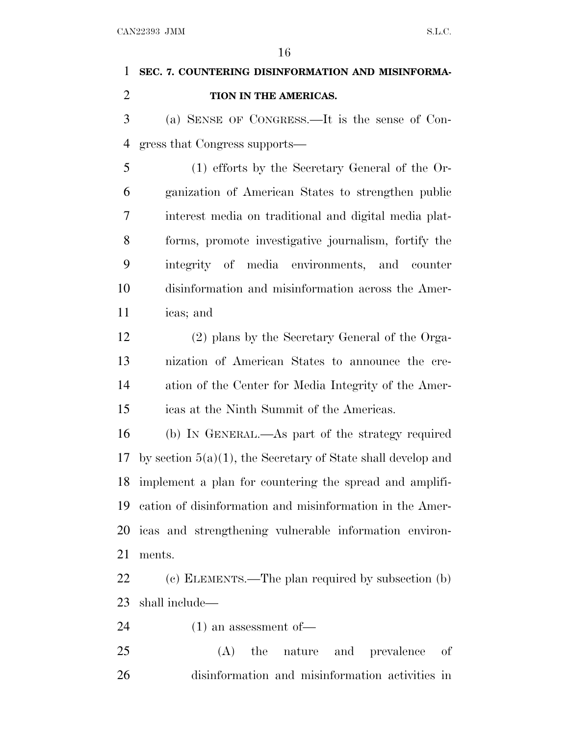# **SEC. 7. COUNTERING DISINFORMATION AND MISINFORMA-TION IN THE AMERICAS.**

 (a) SENSE OF CONGRESS.—It is the sense of Con-gress that Congress supports—

 (1) efforts by the Secretary General of the Or- ganization of American States to strengthen public interest media on traditional and digital media plat- forms, promote investigative journalism, fortify the integrity of media environments, and counter disinformation and misinformation across the Amer-icas; and

 (2) plans by the Secretary General of the Orga- nization of American States to announce the cre- ation of the Center for Media Integrity of the Amer-icas at the Ninth Summit of the Americas.

 (b) I<sup>N</sup> GENERAL.—As part of the strategy required by section 5(a)(1), the Secretary of State shall develop and implement a plan for countering the spread and amplifi- cation of disinformation and misinformation in the Amer- icas and strengthening vulnerable information environ-ments.

 (c) ELEMENTS.—The plan required by subsection (b) shall include—

(1) an assessment of—

 (A) the nature and prevalence of disinformation and misinformation activities in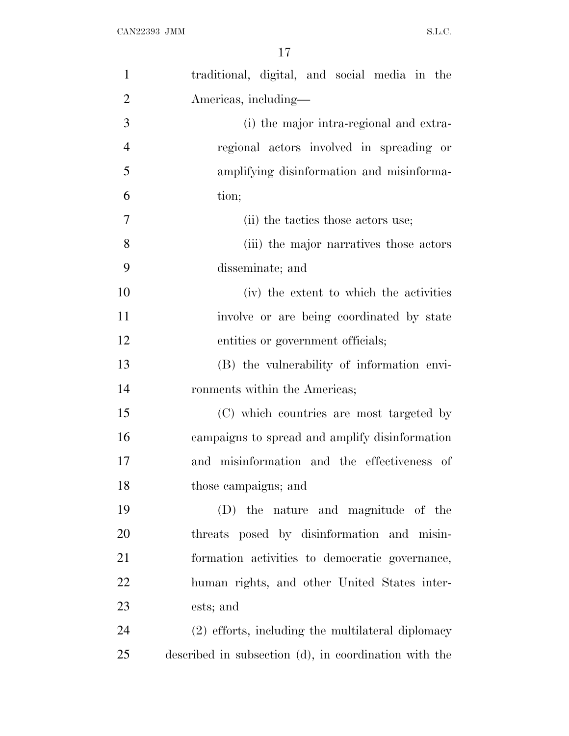| $\mathbf{1}$   | traditional, digital, and social media in the         |
|----------------|-------------------------------------------------------|
| $\overline{2}$ | Americas, including—                                  |
| 3              | (i) the major intra-regional and extra-               |
| $\overline{4}$ | regional actors involved in spreading or              |
| 5              | amplifying disinformation and misinforma-             |
| 6              | tion;                                                 |
| $\overline{7}$ | (ii) the tactics those actors use;                    |
| 8              | (iii) the major narratives those actors               |
| 9              | disseminate; and                                      |
| 10             | (iv) the extent to which the activities               |
| 11             | involve or are being coordinated by state             |
| 12             | entities or government officials;                     |
| 13             | (B) the vulnerability of information envi-            |
| 14             | ronments within the Americas;                         |
| 15             | (C) which countries are most targeted by              |
| 16             | campaigns to spread and amplify disinformation        |
| 17             | and misinformation and the effectiveness of           |
| 18             | those campaigns; and                                  |
| 19             | (D) the nature and magnitude of the                   |
| 20             | threats posed by disinformation and misin-            |
| 21             | formation activities to democratic governance,        |
| 22             | human rights, and other United States inter-          |
| 23             | ests; and                                             |
| 24             | (2) efforts, including the multilateral diplomacy     |
| 25             | described in subsection (d), in coordination with the |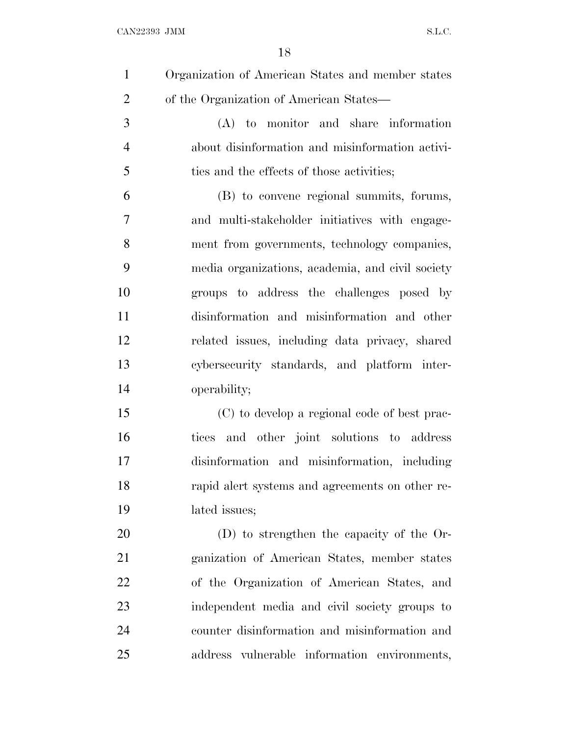$\begin{minipage}{0.9\linewidth} \textbf{CAN} 22393 \textbf{ JMM} \end{minipage}$ 

| $\mathbf{1}$   | Organization of American States and member states |
|----------------|---------------------------------------------------|
| $\overline{2}$ | of the Organization of American States—           |
| 3              | (A) to monitor and share information              |
| $\overline{4}$ | about disinformation and misinformation activi-   |
| 5              | ties and the effects of those activities;         |
| 6              | (B) to convene regional summits, forums,          |
| $\overline{7}$ | and multi-stakeholder initiatives with engage-    |
| 8              | ment from governments, technology companies,      |
| 9              | media organizations, academia, and civil society  |
| 10             | groups to address the challenges posed by         |
| 11             | disinformation and misinformation and other       |
| 12             | related issues, including data privacy, shared    |
| 13             | cybersecurity standards, and platform inter-      |
| 14             | operability;                                      |
| 15             | (C) to develop a regional code of best prac-      |
| 16             | tices and other joint solutions to address        |
| 17             | disinformation and misinformation, including      |
| 18             | rapid alert systems and agreements on other re-   |
| 19             | lated issues;                                     |
| 20             | (D) to strengthen the capacity of the Or-         |
| 21             | ganization of American States, member states      |
| 22             | of the Organization of American States, and       |
| 23             | independent media and civil society groups to     |
| 24             | counter disinformation and misinformation and     |
| 25             | address vulnerable information environments,      |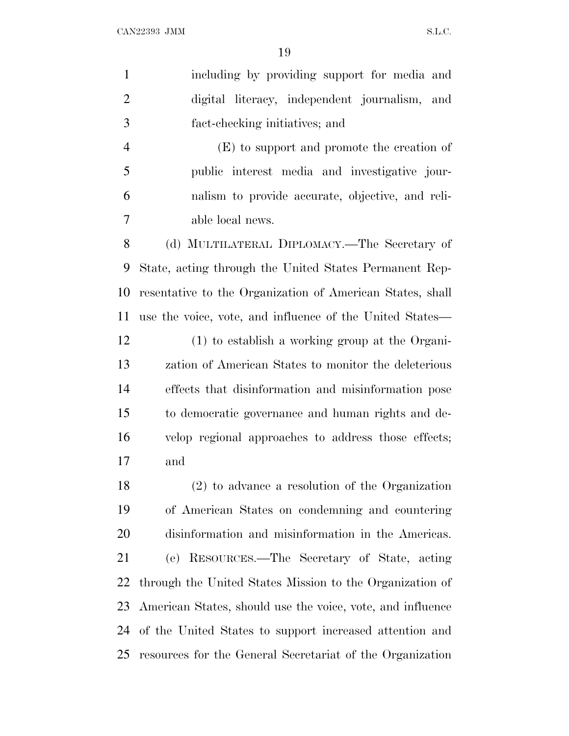| $\mathbf{1}$   | including by providing support for media and               |
|----------------|------------------------------------------------------------|
| $\overline{2}$ | digital literacy, independent journalism, and              |
| $\mathfrak{Z}$ | fact-checking initiatives; and                             |
| $\overline{4}$ | (E) to support and promote the creation of                 |
| 5              | public interest media and investigative jour-              |
| 6              | nalism to provide accurate, objective, and reli-           |
| 7              | able local news.                                           |
| 8              | (d) MULTILATERAL DIPLOMACY.—The Secretary of               |
| 9              | State, acting through the United States Permanent Rep-     |
| 10             | resentative to the Organization of American States, shall  |
| 11             | use the voice, vote, and influence of the United States—   |
| 12             | (1) to establish a working group at the Organi-            |
| 13             | zation of American States to monitor the deleterious       |
| 14             | effects that disinformation and misinformation pose        |
| 15             | to democratic governance and human rights and de-          |
| 16             | velop regional approaches to address those effects;        |
| 17             | and                                                        |
| 18             | $(2)$ to advance a resolution of the Organization          |
| 19             | of American States on condemning and countering            |
| 20             | disinformation and misinformation in the Americas.         |
| 21             | RESOURCES.—The Secretary of State, acting<br>(e)           |
| 22             | through the United States Mission to the Organization of   |
| 23             | American States, should use the voice, vote, and influence |
| 24             | of the United States to support increased attention and    |
| 25             | resources for the General Secretariat of the Organization  |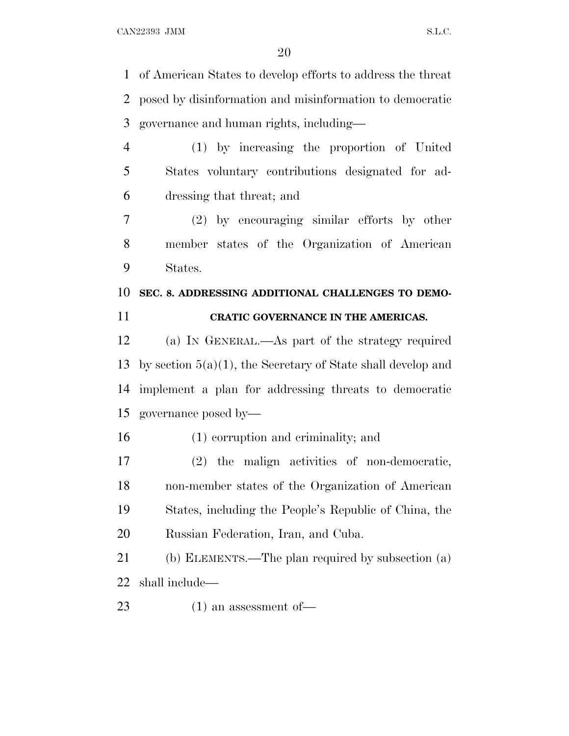of American States to develop efforts to address the threat posed by disinformation and misinformation to democratic governance and human rights, including—

 (1) by increasing the proportion of United States voluntary contributions designated for ad-dressing that threat; and

 (2) by encouraging similar efforts by other member states of the Organization of American States.

### **SEC. 8. ADDRESSING ADDITIONAL CHALLENGES TO DEMO-**

### **CRATIC GOVERNANCE IN THE AMERICAS.**

 (a) I<sup>N</sup> GENERAL.—As part of the strategy required by section 5(a)(1), the Secretary of State shall develop and implement a plan for addressing threats to democratic governance posed by—

(1) corruption and criminality; and

 (2) the malign activities of non-democratic, non-member states of the Organization of American States, including the People's Republic of China, the Russian Federation, Iran, and Cuba.

 (b) ELEMENTS.—The plan required by subsection (a) shall include—

(1) an assessment of—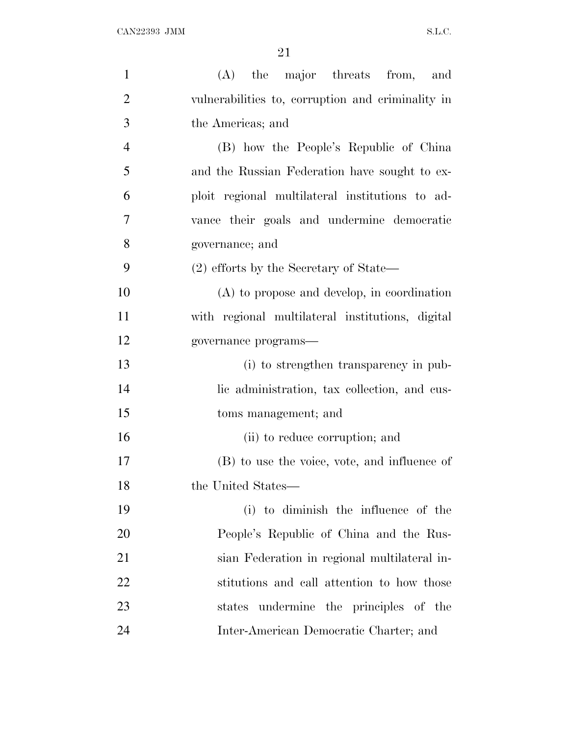| $\mathbf{1}$   | (A) the major threats from, and                   |
|----------------|---------------------------------------------------|
| $\overline{2}$ | vulnerabilities to, corruption and criminality in |
| 3              | the Americas; and                                 |
| $\overline{4}$ | (B) how the People's Republic of China            |
| 5              | and the Russian Federation have sought to ex-     |
| 6              | ploit regional multilateral institutions to ad-   |
| 7              | vance their goals and undermine democratic        |
| 8              | governance; and                                   |
| 9              | $(2)$ efforts by the Secretary of State—          |
| 10             | $(A)$ to propose and develop, in coordination     |
| 11             | with regional multilateral institutions, digital  |
| 12             | governance programs-                              |
| 13             | (i) to strengthen transparency in pub-            |
| 14             | lic administration, tax collection, and cus-      |
| 15             | toms management; and                              |
| 16             | (ii) to reduce corruption; and                    |
| 17             | (B) to use the voice, vote, and influence of      |
| 18             | the United States-                                |
| 19             | (i) to diminish the influence of the              |
| 20             | People's Republic of China and the Rus-           |
| 21             | sian Federation in regional multilateral in-      |
| 22             | stitutions and call attention to how those        |
| 23             | states undermine the principles of the            |
| 24             | Inter-American Democratic Charter; and            |